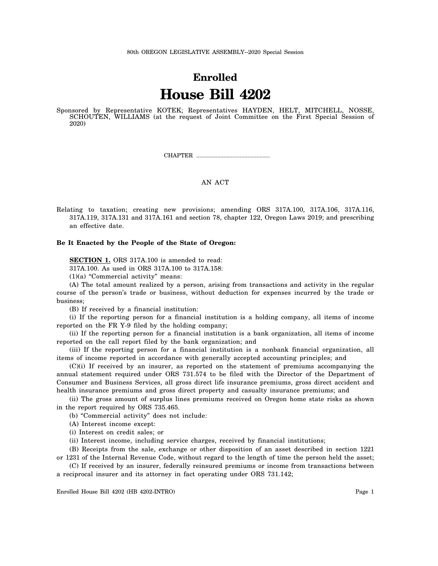# **Enrolled House Bill 4202**

Sponsored by Representative KOTEK; Representatives HAYDEN, HELT, MITCHELL, NOSSE, SCHOUTEN, WILLIAMS (at the request of Joint Committee on the First Special Session of 2020)

CHAPTER .................................................

### AN ACT

Relating to taxation; creating new provisions; amending ORS 317A.100, 317A.106, 317A.116, 317A.119, 317A.131 and 317A.161 and section 78, chapter 122, Oregon Laws 2019; and prescribing an effective date.

#### **Be It Enacted by the People of the State of Oregon:**

**SECTION 1.** ORS 317A.100 is amended to read:

317A.100. As used in ORS 317A.100 to 317A.158:

(1)(a) "Commercial activity" means:

(A) The total amount realized by a person, arising from transactions and activity in the regular course of the person's trade or business, without deduction for expenses incurred by the trade or business;

(B) If received by a financial institution:

(i) If the reporting person for a financial institution is a holding company, all items of income reported on the FR Y-9 filed by the holding company;

(ii) If the reporting person for a financial institution is a bank organization, all items of income reported on the call report filed by the bank organization; and

(iii) If the reporting person for a financial institution is a nonbank financial organization, all items of income reported in accordance with generally accepted accounting principles; and

(C)(i) If received by an insurer, as reported on the statement of premiums accompanying the annual statement required under ORS 731.574 to be filed with the Director of the Department of Consumer and Business Services, all gross direct life insurance premiums, gross direct accident and health insurance premiums and gross direct property and casualty insurance premiums; and

(ii) The gross amount of surplus lines premiums received on Oregon home state risks as shown in the report required by ORS 735.465.

(b) "Commercial activity" does not include:

(A) Interest income except:

(i) Interest on credit sales; or

(ii) Interest income, including service charges, received by financial institutions;

(B) Receipts from the sale, exchange or other disposition of an asset described in section 1221 or 1231 of the Internal Revenue Code, without regard to the length of time the person held the asset;

(C) If received by an insurer, federally reinsured premiums or income from transactions between a reciprocal insurer and its attorney in fact operating under ORS 731.142;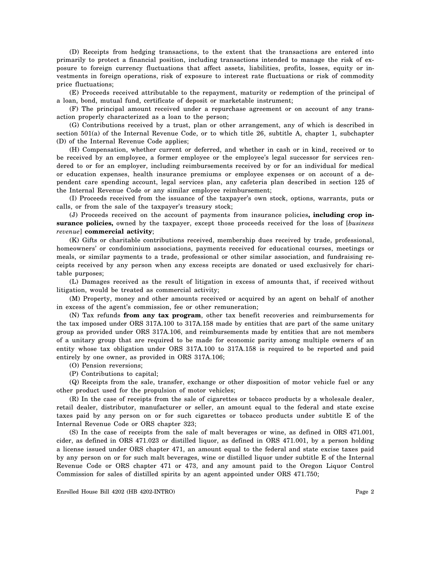(D) Receipts from hedging transactions, to the extent that the transactions are entered into primarily to protect a financial position, including transactions intended to manage the risk of exposure to foreign currency fluctuations that affect assets, liabilities, profits, losses, equity or investments in foreign operations, risk of exposure to interest rate fluctuations or risk of commodity price fluctuations;

(E) Proceeds received attributable to the repayment, maturity or redemption of the principal of a loan, bond, mutual fund, certificate of deposit or marketable instrument;

(F) The principal amount received under a repurchase agreement or on account of any transaction properly characterized as a loan to the person;

(G) Contributions received by a trust, plan or other arrangement, any of which is described in section 501(a) of the Internal Revenue Code, or to which title 26, subtitle A, chapter 1, subchapter (D) of the Internal Revenue Code applies;

(H) Compensation, whether current or deferred, and whether in cash or in kind, received or to be received by an employee, a former employee or the employee's legal successor for services rendered to or for an employer, including reimbursements received by or for an individual for medical or education expenses, health insurance premiums or employee expenses or on account of a dependent care spending account, legal services plan, any cafeteria plan described in section 125 of the Internal Revenue Code or any similar employee reimbursement;

(I) Proceeds received from the issuance of the taxpayer's own stock, options, warrants, puts or calls, or from the sale of the taxpayer's treasury stock;

(J) Proceeds received on the account of payments from insurance policies**, including crop insurance policies,** owned by the taxpayer, except those proceeds received for the loss of [*business revenue*] **commercial activity**;

(K) Gifts or charitable contributions received, membership dues received by trade, professional, homeowners' or condominium associations, payments received for educational courses, meetings or meals, or similar payments to a trade, professional or other similar association, and fundraising receipts received by any person when any excess receipts are donated or used exclusively for charitable purposes;

(L) Damages received as the result of litigation in excess of amounts that, if received without litigation, would be treated as commercial activity;

(M) Property, money and other amounts received or acquired by an agent on behalf of another in excess of the agent's commission, fee or other remuneration;

(N) Tax refunds **from any tax program**, other tax benefit recoveries and reimbursements for the tax imposed under ORS 317A.100 to 317A.158 made by entities that are part of the same unitary group as provided under ORS 317A.106, and reimbursements made by entities that are not members of a unitary group that are required to be made for economic parity among multiple owners of an entity whose tax obligation under ORS 317A.100 to 317A.158 is required to be reported and paid entirely by one owner, as provided in ORS 317A.106;

- (O) Pension reversions;
- (P) Contributions to capital;

(Q) Receipts from the sale, transfer, exchange or other disposition of motor vehicle fuel or any other product used for the propulsion of motor vehicles;

(R) In the case of receipts from the sale of cigarettes or tobacco products by a wholesale dealer, retail dealer, distributor, manufacturer or seller, an amount equal to the federal and state excise taxes paid by any person on or for such cigarettes or tobacco products under subtitle E of the Internal Revenue Code or ORS chapter 323;

(S) In the case of receipts from the sale of malt beverages or wine, as defined in ORS 471.001, cider, as defined in ORS 471.023 or distilled liquor, as defined in ORS 471.001, by a person holding a license issued under ORS chapter 471, an amount equal to the federal and state excise taxes paid by any person on or for such malt beverages, wine or distilled liquor under subtitle E of the Internal Revenue Code or ORS chapter 471 or 473, and any amount paid to the Oregon Liquor Control Commission for sales of distilled spirits by an agent appointed under ORS 471.750;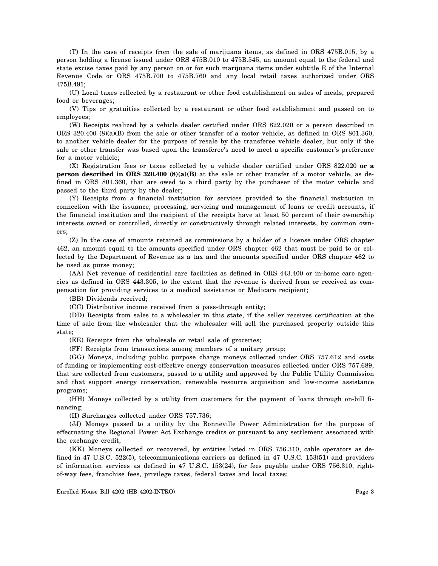(T) In the case of receipts from the sale of marijuana items, as defined in ORS 475B.015, by a person holding a license issued under ORS 475B.010 to 475B.545, an amount equal to the federal and state excise taxes paid by any person on or for such marijuana items under subtitle E of the Internal Revenue Code or ORS 475B.700 to 475B.760 and any local retail taxes authorized under ORS 475B.491;

(U) Local taxes collected by a restaurant or other food establishment on sales of meals, prepared food or beverages;

(V) Tips or gratuities collected by a restaurant or other food establishment and passed on to employees;

(W) Receipts realized by a vehicle dealer certified under ORS 822.020 or a person described in ORS 320.400 (8)(a)(B) from the sale or other transfer of a motor vehicle, as defined in ORS 801.360, to another vehicle dealer for the purpose of resale by the transferee vehicle dealer, but only if the sale or other transfer was based upon the transferee's need to meet a specific customer's preference for a motor vehicle;

(X) Registration fees or taxes collected by a vehicle dealer certified under ORS 822.020 **or a person described in ORS 320.400 (8)(a)(B)** at the sale or other transfer of a motor vehicle, as defined in ORS 801.360, that are owed to a third party by the purchaser of the motor vehicle and passed to the third party by the dealer;

(Y) Receipts from a financial institution for services provided to the financial institution in connection with the issuance, processing, servicing and management of loans or credit accounts, if the financial institution and the recipient of the receipts have at least 50 percent of their ownership interests owned or controlled, directly or constructively through related interests, by common owners;

(Z) In the case of amounts retained as commissions by a holder of a license under ORS chapter 462, an amount equal to the amounts specified under ORS chapter 462 that must be paid to or collected by the Department of Revenue as a tax and the amounts specified under ORS chapter 462 to be used as purse money;

(AA) Net revenue of residential care facilities as defined in ORS 443.400 or in-home care agencies as defined in ORS 443.305, to the extent that the revenue is derived from or received as compensation for providing services to a medical assistance or Medicare recipient;

(BB) Dividends received;

(CC) Distributive income received from a pass-through entity;

(DD) Receipts from sales to a wholesaler in this state, if the seller receives certification at the time of sale from the wholesaler that the wholesaler will sell the purchased property outside this state;

(EE) Receipts from the wholesale or retail sale of groceries;

(FF) Receipts from transactions among members of a unitary group;

(GG) Moneys, including public purpose charge moneys collected under ORS 757.612 and costs of funding or implementing cost-effective energy conservation measures collected under ORS 757.689, that are collected from customers, passed to a utility and approved by the Public Utility Commission and that support energy conservation, renewable resource acquisition and low-income assistance programs;

(HH) Moneys collected by a utility from customers for the payment of loans through on-bill financing;

(II) Surcharges collected under ORS 757.736;

(JJ) Moneys passed to a utility by the Bonneville Power Administration for the purpose of effectuating the Regional Power Act Exchange credits or pursuant to any settlement associated with the exchange credit;

(KK) Moneys collected or recovered, by entities listed in ORS 756.310, cable operators as defined in 47 U.S.C. 522(5), telecommunications carriers as defined in 47 U.S.C. 153(51) and providers of information services as defined in 47 U.S.C. 153(24), for fees payable under ORS 756.310, rightof-way fees, franchise fees, privilege taxes, federal taxes and local taxes;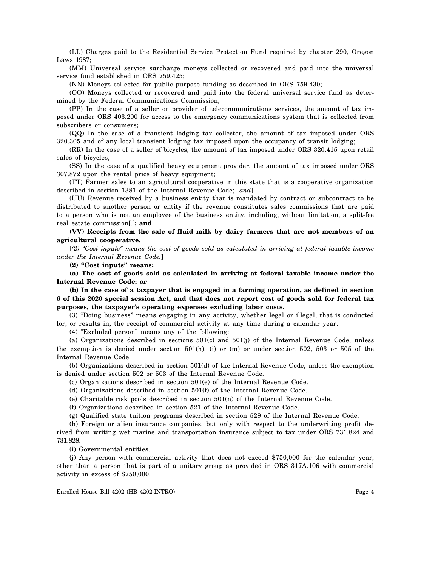(LL) Charges paid to the Residential Service Protection Fund required by chapter 290, Oregon Laws 1987;

(MM) Universal service surcharge moneys collected or recovered and paid into the universal service fund established in ORS 759.425;

(NN) Moneys collected for public purpose funding as described in ORS 759.430;

(OO) Moneys collected or recovered and paid into the federal universal service fund as determined by the Federal Communications Commission;

(PP) In the case of a seller or provider of telecommunications services, the amount of tax imposed under ORS 403.200 for access to the emergency communications system that is collected from subscribers or consumers;

(QQ) In the case of a transient lodging tax collector, the amount of tax imposed under ORS 320.305 and of any local transient lodging tax imposed upon the occupancy of transit lodging;

(RR) In the case of a seller of bicycles, the amount of tax imposed under ORS 320.415 upon retail sales of bicycles;

(SS) In the case of a qualified heavy equipment provider, the amount of tax imposed under ORS 307.872 upon the rental price of heavy equipment;

(TT) Farmer sales to an agricultural cooperative in this state that is a cooperative organization described in section 1381 of the Internal Revenue Code; [*and*]

(UU) Revenue received by a business entity that is mandated by contract or subcontract to be distributed to another person or entity if the revenue constitutes sales commissions that are paid to a person who is not an employee of the business entity, including, without limitation, a split-fee real estate commission[*.*]**; and**

### **(VV) Receipts from the sale of fluid milk by dairy farmers that are not members of an agricultural cooperative.**

[*(2) "Cost inputs" means the cost of goods sold as calculated in arriving at federal taxable income under the Internal Revenue Code.*]

**(2) "Cost inputs" means:**

**(a) The cost of goods sold as calculated in arriving at federal taxable income under the Internal Revenue Code; or**

**(b) In the case of a taxpayer that is engaged in a farming operation, as defined in section 6 of this 2020 special session Act, and that does not report cost of goods sold for federal tax purposes, the taxpayer's operating expenses excluding labor costs.**

(3) "Doing business" means engaging in any activity, whether legal or illegal, that is conducted for, or results in, the receipt of commercial activity at any time during a calendar year.

(4) "Excluded person" means any of the following:

(a) Organizations described in sections 501(c) and 501(j) of the Internal Revenue Code, unless the exemption is denied under section 501(h), (i) or (m) or under section 502, 503 or 505 of the Internal Revenue Code.

(b) Organizations described in section 501(d) of the Internal Revenue Code, unless the exemption is denied under section 502 or 503 of the Internal Revenue Code.

(c) Organizations described in section 501(e) of the Internal Revenue Code.

(d) Organizations described in section 501(f) of the Internal Revenue Code.

(e) Charitable risk pools described in section 501(n) of the Internal Revenue Code.

(f) Organizations described in section 521 of the Internal Revenue Code.

(g) Qualified state tuition programs described in section 529 of the Internal Revenue Code.

(h) Foreign or alien insurance companies, but only with respect to the underwriting profit derived from writing wet marine and transportation insurance subject to tax under ORS 731.824 and 731.828.

(i) Governmental entities.

(j) Any person with commercial activity that does not exceed \$750,000 for the calendar year, other than a person that is part of a unitary group as provided in ORS 317A.106 with commercial activity in excess of \$750,000.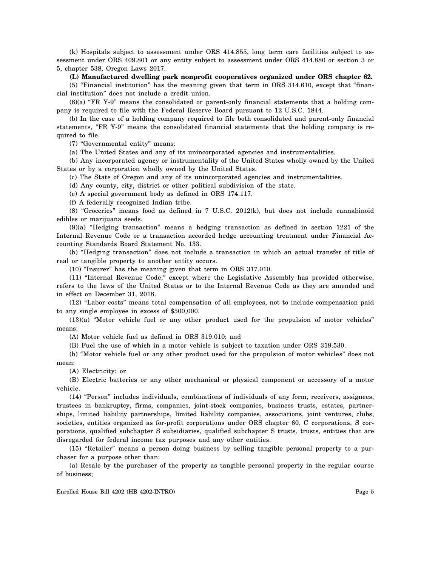(k) Hospitals subject to assessment under ORS 414.855, long term care facilities subject to assessment under ORS 409.801 or any entity subject to assessment under ORS 414.880 or section 3 or 5, chapter 538, Oregon Laws 2017.

#### **(L) Manufactured dwelling park nonprofit cooperatives organized under ORS chapter 62.**

(5) "Financial institution" has the meaning given that term in ORS 314.610, except that "financial institution" does not include a credit union.

 $(6)(a)$  "FR Y-9" means the consolidated or parent-only financial statements that a holding company is required to file with the Federal Reserve Board pursuant to 12 U.S.C. 1844.

(b) In the case of a holding company required to file both consolidated and parent-only financial statements, "FR Y-9" means the consolidated financial statements that the holding company is required to file.

(7) "Governmental entity" means:

(a) The United States and any of its unincorporated agencies and instrumentalities.

(b) Any incorporated agency or instrumentality of the United States wholly owned by the United States or by a corporation wholly owned by the United States.

(c) The State of Oregon and any of its unincorporated agencies and instrumentalities.

(d) Any county, city, district or other political subdivision of the state.

(e) A special government body as defined in ORS 174.117.

(f) A federally recognized Indian tribe.

(8) "Groceries" means food as defined in 7 U.S.C. 2012(k), but does not include cannabinoid edibles or marijuana seeds.

(9)(a) "Hedging transaction" means a hedging transaction as defined in section 1221 of the Internal Revenue Code or a transaction accorded hedge accounting treatment under Financial Accounting Standards Board Statement No. 133.

(b) "Hedging transaction" does not include a transaction in which an actual transfer of title of real or tangible property to another entity occurs.

(10) "Insurer" has the meaning given that term in ORS 317.010.

(11) "Internal Revenue Code," except where the Legislative Assembly has provided otherwise, refers to the laws of the United States or to the Internal Revenue Code as they are amended and in effect on December 31, 2018.

(12) "Labor costs" means total compensation of all employees, not to include compensation paid to any single employee in excess of \$500,000.

(13)(a) "Motor vehicle fuel or any other product used for the propulsion of motor vehicles" means:

(A) Motor vehicle fuel as defined in ORS 319.010; and

(B) Fuel the use of which in a motor vehicle is subject to taxation under ORS 319.530.

(b) "Motor vehicle fuel or any other product used for the propulsion of motor vehicles" does not mean:

(A) Electricity; or

(B) Electric batteries or any other mechanical or physical component or accessory of a motor vehicle.

(14) "Person" includes individuals, combinations of individuals of any form, receivers, assignees, trustees in bankruptcy, firms, companies, joint-stock companies, business trusts, estates, partnerships, limited liability partnerships, limited liability companies, associations, joint ventures, clubs, societies, entities organized as for-profit corporations under ORS chapter 60, C corporations, S corporations, qualified subchapter S subsidiaries, qualified subchapter S trusts, trusts, entities that are disregarded for federal income tax purposes and any other entities.

(15) "Retailer" means a person doing business by selling tangible personal property to a purchaser for a purpose other than:

(a) Resale by the purchaser of the property as tangible personal property in the regular course of business;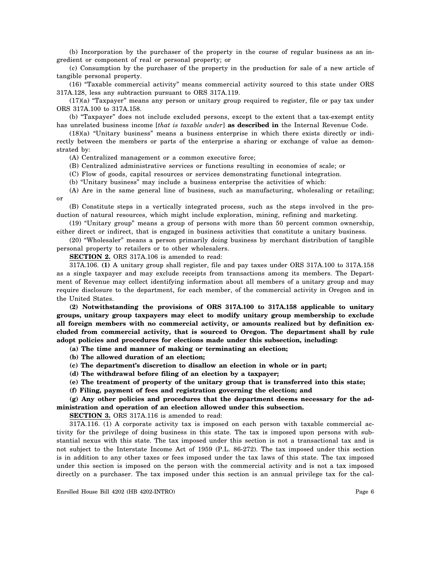(b) Incorporation by the purchaser of the property in the course of regular business as an ingredient or component of real or personal property; or

(c) Consumption by the purchaser of the property in the production for sale of a new article of tangible personal property.

(16) "Taxable commercial activity" means commercial activity sourced to this state under ORS 317A.128, less any subtraction pursuant to ORS 317A.119.

(17)(a) "Taxpayer" means any person or unitary group required to register, file or pay tax under ORS 317A.100 to 317A.158.

(b) "Taxpayer" does not include excluded persons, except to the extent that a tax-exempt entity has unrelated business income [*that is taxable under*] **as described in** the Internal Revenue Code.

(18)(a) "Unitary business" means a business enterprise in which there exists directly or indirectly between the members or parts of the enterprise a sharing or exchange of value as demonstrated by:

(A) Centralized management or a common executive force;

(B) Centralized administrative services or functions resulting in economies of scale; or

(C) Flow of goods, capital resources or services demonstrating functional integration.

(b) "Unitary business" may include a business enterprise the activities of which:

(A) Are in the same general line of business, such as manufacturing, wholesaling or retailing; or

(B) Constitute steps in a vertically integrated process, such as the steps involved in the production of natural resources, which might include exploration, mining, refining and marketing.

(19) "Unitary group" means a group of persons with more than 50 percent common ownership, either direct or indirect, that is engaged in business activities that constitute a unitary business.

(20) "Wholesaler" means a person primarily doing business by merchant distribution of tangible personal property to retailers or to other wholesalers.

**SECTION 2.** ORS 317A.106 is amended to read:

317A.106. **(1)** A unitary group shall register, file and pay taxes under ORS 317A.100 to 317A.158 as a single taxpayer and may exclude receipts from transactions among its members. The Department of Revenue may collect identifying information about all members of a unitary group and may require disclosure to the department, for each member, of the commercial activity in Oregon and in the United States.

**(2) Notwithstanding the provisions of ORS 317A.100 to 317A.158 applicable to unitary groups, unitary group taxpayers may elect to modify unitary group membership to exclude all foreign members with no commercial activity, or amounts realized but by definition excluded from commercial activity, that is sourced to Oregon. The department shall by rule adopt policies and procedures for elections made under this subsection, including:**

**(a) The time and manner of making or terminating an election;**

- **(b) The allowed duration of an election;**
- **(c) The department's discretion to disallow an election in whole or in part;**
- **(d) The withdrawal before filing of an election by a taxpayer;**
- **(e) The treatment of property of the unitary group that is transferred into this state;**
- **(f) Filing, payment of fees and registration governing the election; and**

**(g) Any other policies and procedures that the department deems necessary for the administration and operation of an election allowed under this subsection.**

**SECTION 3.** ORS 317A.116 is amended to read:

317A.116. (1) A corporate activity tax is imposed on each person with taxable commercial activity for the privilege of doing business in this state. The tax is imposed upon persons with substantial nexus with this state. The tax imposed under this section is not a transactional tax and is not subject to the Interstate Income Act of 1959 (P.L. 86-272). The tax imposed under this section is in addition to any other taxes or fees imposed under the tax laws of this state. The tax imposed under this section is imposed on the person with the commercial activity and is not a tax imposed directly on a purchaser. The tax imposed under this section is an annual privilege tax for the cal-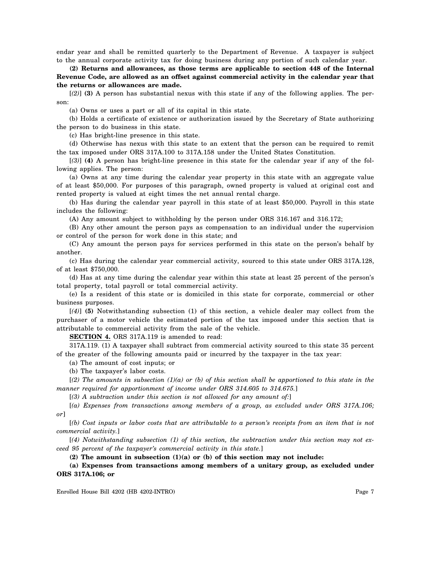endar year and shall be remitted quarterly to the Department of Revenue. A taxpayer is subject to the annual corporate activity tax for doing business during any portion of such calendar year.

**(2) Returns and allowances, as those terms are applicable to section 448 of the Internal Revenue Code, are allowed as an offset against commercial activity in the calendar year that the returns or allowances are made.**

[*(2)*] **(3)** A person has substantial nexus with this state if any of the following applies. The person:

(a) Owns or uses a part or all of its capital in this state.

(b) Holds a certificate of existence or authorization issued by the Secretary of State authorizing the person to do business in this state.

(c) Has bright-line presence in this state.

(d) Otherwise has nexus with this state to an extent that the person can be required to remit the tax imposed under ORS 317A.100 to 317A.158 under the United States Constitution.

[*(3)*] **(4)** A person has bright-line presence in this state for the calendar year if any of the following applies. The person:

(a) Owns at any time during the calendar year property in this state with an aggregate value of at least \$50,000. For purposes of this paragraph, owned property is valued at original cost and rented property is valued at eight times the net annual rental charge.

(b) Has during the calendar year payroll in this state of at least \$50,000. Payroll in this state includes the following:

(A) Any amount subject to withholding by the person under ORS 316.167 and 316.172;

(B) Any other amount the person pays as compensation to an individual under the supervision or control of the person for work done in this state; and

(C) Any amount the person pays for services performed in this state on the person's behalf by another.

(c) Has during the calendar year commercial activity, sourced to this state under ORS 317A.128, of at least \$750,000.

(d) Has at any time during the calendar year within this state at least 25 percent of the person's total property, total payroll or total commercial activity.

(e) Is a resident of this state or is domiciled in this state for corporate, commercial or other business purposes.

[*(4)*] **(5)** Notwithstanding subsection (1) of this section, a vehicle dealer may collect from the purchaser of a motor vehicle the estimated portion of the tax imposed under this section that is attributable to commercial activity from the sale of the vehicle.

**SECTION 4.** ORS 317A.119 is amended to read:

317A.119. (1) A taxpayer shall subtract from commercial activity sourced to this state 35 percent of the greater of the following amounts paid or incurred by the taxpayer in the tax year:

(a) The amount of cost inputs; or

(b) The taxpayer's labor costs.

[*(2) The amounts in subsection (1)(a) or (b) of this section shall be apportioned to this state in the manner required for apportionment of income under ORS 314.605 to 314.675.*]

[*(3) A subtraction under this section is not allowed for any amount of:*]

[*(a) Expenses from transactions among members of a group, as excluded under ORS 317A.106; or*]

[*(b) Cost inputs or labor costs that are attributable to a person's receipts from an item that is not commercial activity.*]

[*(4) Notwithstanding subsection (1) of this section, the subtraction under this section may not exceed 95 percent of the taxpayer's commercial activity in this state.*]

**(2) The amount in subsection (1)(a) or (b) of this section may not include:**

## **(a) Expenses from transactions among members of a unitary group, as excluded under ORS 317A.106; or**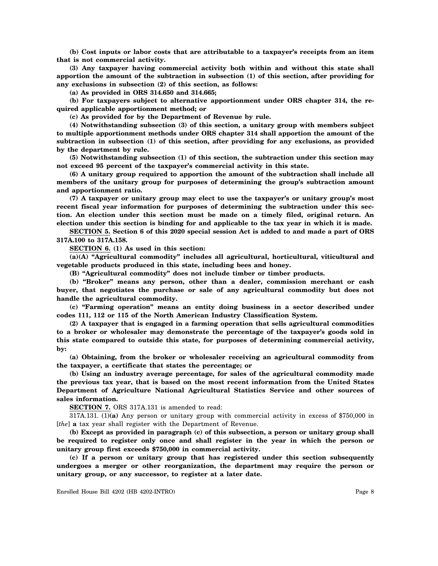**(b) Cost inputs or labor costs that are attributable to a taxpayer's receipts from an item that is not commercial activity.**

**(3) Any taxpayer having commercial activity both within and without this state shall apportion the amount of the subtraction in subsection (1) of this section, after providing for any exclusions in subsection (2) of this section, as follows:**

**(a) As provided in ORS 314.650 and 314.665;**

**(b) For taxpayers subject to alternative apportionment under ORS chapter 314, the required applicable apportionment method; or**

**(c) As provided for by the Department of Revenue by rule.**

**(4) Notwithstanding subsection (3) of this section, a unitary group with members subject to multiple apportionment methods under ORS chapter 314 shall apportion the amount of the subtraction in subsection (1) of this section, after providing for any exclusions, as provided by the department by rule.**

**(5) Notwithstanding subsection (1) of this section, the subtraction under this section may not exceed 95 percent of the taxpayer's commercial activity in this state.**

**(6) A unitary group required to apportion the amount of the subtraction shall include all members of the unitary group for purposes of determining the group's subtraction amount and apportionment ratio.**

**(7) A taxpayer or unitary group may elect to use the taxpayer's or unitary group's most recent fiscal year information for purposes of determining the subtraction under this section. An election under this section must be made on a timely filed, original return. An election under this section is binding for and applicable to the tax year in which it is made.**

**SECTION 5. Section 6 of this 2020 special session Act is added to and made a part of ORS 317A.100 to 317A.158.**

**SECTION 6. (1) As used in this section:**

**(a)(A) "Agricultural commodity" includes all agricultural, horticultural, viticultural and vegetable products produced in this state, including bees and honey.**

**(B) "Agricultural commodity" does not include timber or timber products.**

**(b) "Broker" means any person, other than a dealer, commission merchant or cash buyer, that negotiates the purchase or sale of any agricultural commodity but does not handle the agricultural commodity.**

**(c) "Farming operation" means an entity doing business in a sector described under codes 111, 112 or 115 of the North American Industry Classification System.**

**(2) A taxpayer that is engaged in a farming operation that sells agricultural commodities to a broker or wholesaler may demonstrate the percentage of the taxpayer's goods sold in this state compared to outside this state, for purposes of determining commercial activity, by:**

**(a) Obtaining, from the broker or wholesaler receiving an agricultural commodity from the taxpayer, a certificate that states the percentage; or**

**(b) Using an industry average percentage, for sales of the agricultural commodity made the previous tax year, that is based on the most recent information from the United States Department of Agriculture National Agricultural Statistics Service and other sources of sales information.**

**SECTION 7.** ORS 317A.131 is amended to read:

317A.131. (1)**(a)** Any person or unitary group with commercial activity in excess of \$750,000 in [*the*] **a** tax year shall register with the Department of Revenue.

**(b) Except as provided in paragraph (c) of this subsection, a person or unitary group shall be required to register only once and shall register in the year in which the person or unitary group first exceeds \$750,000 in commercial activity.**

**(c) If a person or unitary group that has registered under this section subsequently undergoes a merger or other reorganization, the department may require the person or unitary group, or any successor, to register at a later date.**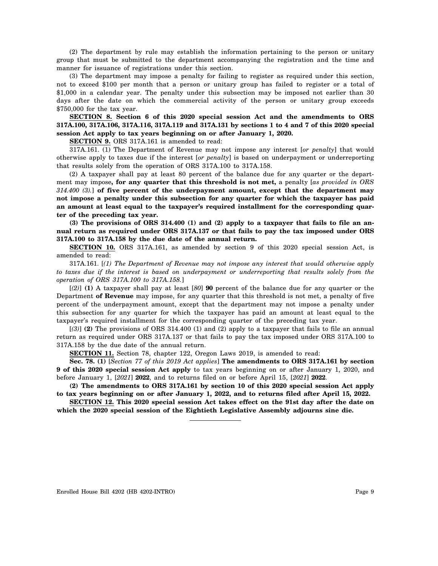(2) The department by rule may establish the information pertaining to the person or unitary group that must be submitted to the department accompanying the registration and the time and manner for issuance of registrations under this section.

(3) The department may impose a penalty for failing to register as required under this section, not to exceed \$100 per month that a person or unitary group has failed to register or a total of \$1,000 in a calendar year. The penalty under this subsection may be imposed not earlier than 30 days after the date on which the commercial activity of the person or unitary group exceeds \$750,000 for the tax year.

**SECTION 8. Section 6 of this 2020 special session Act and the amendments to ORS 317A.100, 317A.106, 317A.116, 317A.119 and 317A.131 by sections 1 to 4 and 7 of this 2020 special session Act apply to tax years beginning on or after January 1, 2020.**

**SECTION 9.** ORS 317A.161 is amended to read:

317A.161. (1) The Department of Revenue may not impose any interest [*or penalty*] that would otherwise apply to taxes due if the interest [*or penalty*] is based on underpayment or underreporting that results solely from the operation of ORS 317A.100 to 317A.158.

(2) A taxpayer shall pay at least 80 percent of the balance due for any quarter or the department may impose**, for any quarter that this threshold is not met,** a penalty [*as provided in ORS 314.400 (3).*] **of five percent of the underpayment amount, except that the department may not impose a penalty under this subsection for any quarter for which the taxpayer has paid an amount at least equal to the taxpayer's required installment for the corresponding quarter of the preceding tax year.**

**(3) The provisions of ORS 314.400 (1) and (2) apply to a taxpayer that fails to file an annual return as required under ORS 317A.137 or that fails to pay the tax imposed under ORS 317A.100 to 317A.158 by the due date of the annual return.**

**SECTION 10.** ORS 317A.161, as amended by section 9 of this 2020 special session Act, is amended to read:

317A.161. [*(1) The Department of Revenue may not impose any interest that would otherwise apply to taxes due if the interest is based on underpayment or underreporting that results solely from the operation of ORS 317A.100 to 317A.158.*]

[*(2)*] **(1)** A taxpayer shall pay at least [*80*] **90** percent of the balance due for any quarter or the Department **of Revenue** may impose, for any quarter that this threshold is not met, a penalty of five percent of the underpayment amount, except that the department may not impose a penalty under this subsection for any quarter for which the taxpayer has paid an amount at least equal to the taxpayer's required installment for the corresponding quarter of the preceding tax year.

[*(3)*] **(2)** The provisions of ORS 314.400 (1) and (2) apply to a taxpayer that fails to file an annual return as required under ORS 317A.137 or that fails to pay the tax imposed under ORS 317A.100 to 317A.158 by the due date of the annual return.

**SECTION 11.** Section 78, chapter 122, Oregon Laws 2019, is amended to read:

**Sec. 78. (1)** [*Section 77 of this 2019 Act applies*] **The amendments to ORS 317A.161 by section 9 of this 2020 special session Act apply** to tax years beginning on or after January 1, 2020, and before January 1, [*2021*] **2022**, and to returns filed on or before April 15, [*2021*] **2022**.

**(2) The amendments to ORS 317A.161 by section 10 of this 2020 special session Act apply to tax years beginning on or after January 1, 2022, and to returns filed after April 15, 2022.**

**SECTION 12. This 2020 special session Act takes effect on the 91st day after the date on which the 2020 special session of the Eightieth Legislative Assembly adjourns sine die.**